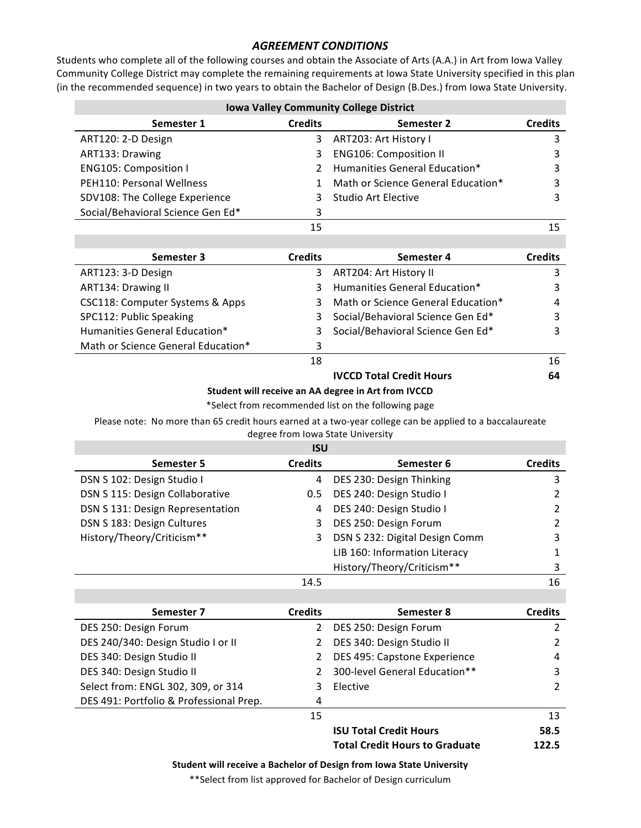## **AGREEMENT CONDITIONS**

Students who complete all of the following courses and obtain the Associate of Arts (A.A.) in Art from Iowa Valley Community College District may complete the remaining requirements at lowa State University specified in this plan (in the recommended sequence) in two years to obtain the Bachelor of Design (B.Des.) from Iowa State University.

| <b>Iowa Valley Community College District</b> |                |                                    |                |
|-----------------------------------------------|----------------|------------------------------------|----------------|
| Semester 1                                    | <b>Credits</b> | Semester 2                         | <b>Credits</b> |
| ART120: 2-D Design                            | 3.             | ART203: Art History I              |                |
| ART133: Drawing                               | 3              | <b>ENG106: Composition II</b>      |                |
| ENG105: Composition I                         |                | 2 Humanities General Education*    |                |
| PEH110: Personal Wellness                     | 1.             | Math or Science General Education* |                |
| SDV108: The College Experience                | 3              | Studio Art Elective                |                |
| Social/Behavioral Science Gen Ed*             | 3              |                                    |                |
|                                               | 15             |                                    |                |

| Semester 3                         | <b>Credits</b> | Semester 4                         | <b>Credits</b> |
|------------------------------------|----------------|------------------------------------|----------------|
| ART123: 3-D Design                 | 3              | ART204: Art History II             | 3              |
| ART134: Drawing II                 |                | Humanities General Education*      | 3              |
| CSC118: Computer Systems & Apps    |                | Math or Science General Education* | 4              |
| SPC112: Public Speaking            |                | Social/Behavioral Science Gen Ed*  | 3              |
| Humanities General Education*      |                | Social/Behavioral Science Gen Ed*  | 3              |
| Math or Science General Education* | 3              |                                    |                |
|                                    | 18             |                                    | 16             |
|                                    |                | <b>IVCCD Total Credit Hours</b>    | 64             |

## **Student will receive an AA degree in Art from IVCCD**

\*Select from recommended list on the following page

Please note: No more than 65 credit hours earned at a two-year college can be applied to a baccalaureate degree from Iowa State University

## **ISU**

| Semester 5                       | <b>Credits</b> | Semester 6                     | <b>Credits</b> |
|----------------------------------|----------------|--------------------------------|----------------|
| DSN S 102: Design Studio I       | $\overline{4}$ | DES 230: Design Thinking       | 3              |
| DSN S 115: Design Collaborative  | $0.5^{\circ}$  | DES 240: Design Studio I       | 2              |
| DSN S 131: Design Representation | 4              | DES 240: Design Studio I       | 2              |
| DSN S 183: Design Cultures       | 3              | DES 250: Design Forum          | 2              |
| History/Theory/Criticism**       | 3              | DSN S 232: Digital Design Comm | 3              |
|                                  |                | LIB 160: Information Literacy  |                |
|                                  |                | History/Theory/Criticism**     | 3              |
|                                  | 14.5           |                                | 16             |

| Semester 7                              | <b>Credits</b> | Semester 8                            | <b>Credits</b> |
|-----------------------------------------|----------------|---------------------------------------|----------------|
| DES 250: Design Forum                   | 2              | DES 250: Design Forum                 | 2              |
| DES 240/340: Design Studio I or II      |                | DES 340: Design Studio II             | 2              |
| DES 340: Design Studio II               |                | DES 495: Capstone Experience          | 4              |
| DES 340: Design Studio II               |                | 300-level General Education**         | 3              |
| Select from: ENGL 302, 309, or 314      |                | Elective                              | 2              |
| DES 491: Portfolio & Professional Prep. | 4              |                                       |                |
|                                         | 15             |                                       | 13             |
|                                         |                | <b>ISU Total Credit Hours</b>         | 58.5           |
|                                         |                | <b>Total Credit Hours to Graduate</b> | 122.5          |

**Student will receive a Bachelor of Design from Iowa State University** 

\*\*Select from list approved for Bachelor of Design curriculum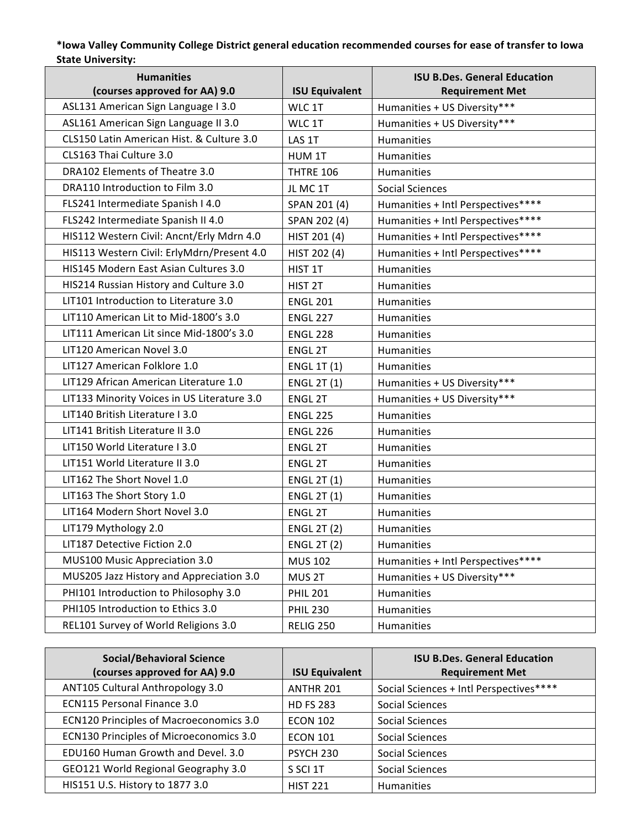## **\*Iowa Valley Community College District general education recommended courses for ease of transfer to Iowa**  State University:

| <b>Humanities</b><br>(courses approved for AA) 9.0 | <b>ISU Equivalent</b> | <b>ISU B.Des. General Education</b><br><b>Requirement Met</b> |
|----------------------------------------------------|-----------------------|---------------------------------------------------------------|
| ASL131 American Sign Language I 3.0                | WLC 1T                | Humanities + US Diversity***                                  |
| ASL161 American Sign Language II 3.0               | WLC 1T                | Humanities + US Diversity***                                  |
| CLS150 Latin American Hist. & Culture 3.0          | LAS 1T                | Humanities                                                    |
| CLS163 Thai Culture 3.0                            | HUM 1T                | Humanities                                                    |
| DRA102 Elements of Theatre 3.0                     | <b>THTRE 106</b>      | Humanities                                                    |
| DRA110 Introduction to Film 3.0                    | JL MC 1T              | <b>Social Sciences</b>                                        |
| FLS241 Intermediate Spanish I 4.0                  | SPAN 201 (4)          | Humanities + Intl Perspectives****                            |
| FLS242 Intermediate Spanish II 4.0                 | SPAN 202 (4)          | Humanities + Intl Perspectives****                            |
| HIS112 Western Civil: Ancnt/Erly Mdrn 4.0          | HIST 201 (4)          | Humanities + Intl Perspectives****                            |
| HIS113 Western Civil: ErlyMdrn/Present 4.0         | HIST 202 (4)          | Humanities + Intl Perspectives****                            |
| HIS145 Modern East Asian Cultures 3.0              | HIST 1T               | Humanities                                                    |
| HIS214 Russian History and Culture 3.0             | HIST <sub>2T</sub>    | <b>Humanities</b>                                             |
| LIT101 Introduction to Literature 3.0              | <b>ENGL 201</b>       | Humanities                                                    |
| LIT110 American Lit to Mid-1800's 3.0              | <b>ENGL 227</b>       | Humanities                                                    |
| LIT111 American Lit since Mid-1800's 3.0           | <b>ENGL 228</b>       | <b>Humanities</b>                                             |
| LIT120 American Novel 3.0                          | <b>ENGL 2T</b>        | Humanities                                                    |
| LIT127 American Folklore 1.0                       | <b>ENGL 1T (1)</b>    | Humanities                                                    |
| LIT129 African American Literature 1.0             | <b>ENGL 2T (1)</b>    | Humanities + US Diversity***                                  |
| LIT133 Minority Voices in US Literature 3.0        | <b>ENGL 2T</b>        | Humanities + US Diversity***                                  |
| LIT140 British Literature I 3.0                    | <b>ENGL 225</b>       | Humanities                                                    |
| LIT141 British Literature II 3.0                   | <b>ENGL 226</b>       | Humanities                                                    |
| LIT150 World Literature I 3.0                      | <b>ENGL 2T</b>        | Humanities                                                    |
| LIT151 World Literature II 3.0                     | ENGL 2T               | Humanities                                                    |
| LIT162 The Short Novel 1.0                         | <b>ENGL 2T (1)</b>    | Humanities                                                    |
| LIT163 The Short Story 1.0                         | <b>ENGL 2T (1)</b>    | Humanities                                                    |
| LIT164 Modern Short Novel 3.0                      | <b>ENGL 2T</b>        | Humanities                                                    |
| LIT179 Mythology 2.0                               | <b>ENGL 2T (2)</b>    | Humanities                                                    |
| LIT187 Detective Fiction 2.0                       | <b>ENGL 2T (2)</b>    | Humanities                                                    |
| MUS100 Music Appreciation 3.0                      | <b>MUS 102</b>        | Humanities + Intl Perspectives****                            |
| MUS205 Jazz History and Appreciation 3.0           | MUS 2T                | Humanities + US Diversity***                                  |
| PHI101 Introduction to Philosophy 3.0              | <b>PHIL 201</b>       | Humanities                                                    |
| PHI105 Introduction to Ethics 3.0                  | <b>PHIL 230</b>       | Humanities                                                    |
| REL101 Survey of World Religions 3.0               | <b>RELIG 250</b>      | Humanities                                                    |

| <b>Social/Behavioral Science</b><br>(courses approved for AA) 9.0 | <b>ISU Equivalent</b> | <b>ISU B.Des. General Education</b><br><b>Requirement Met</b> |
|-------------------------------------------------------------------|-----------------------|---------------------------------------------------------------|
| ANT105 Cultural Anthropology 3.0                                  | ANTHR 201             | Social Sciences + Intl Perspectives****                       |
| ECN115 Personal Finance 3.0                                       | <b>HD FS 283</b>      | <b>Social Sciences</b>                                        |
| <b>ECN120 Principles of Macroeconomics 3.0</b>                    | <b>ECON 102</b>       | <b>Social Sciences</b>                                        |
| ECN130 Principles of Microeconomics 3.0                           | <b>ECON 101</b>       | <b>Social Sciences</b>                                        |
| EDU160 Human Growth and Devel. 3.0                                | PSYCH 230             | Social Sciences                                               |
| GEO121 World Regional Geography 3.0                               | S SCI 1T              | <b>Social Sciences</b>                                        |
| HIS151 U.S. History to 1877 3.0                                   | <b>HIST 221</b>       | <b>Humanities</b>                                             |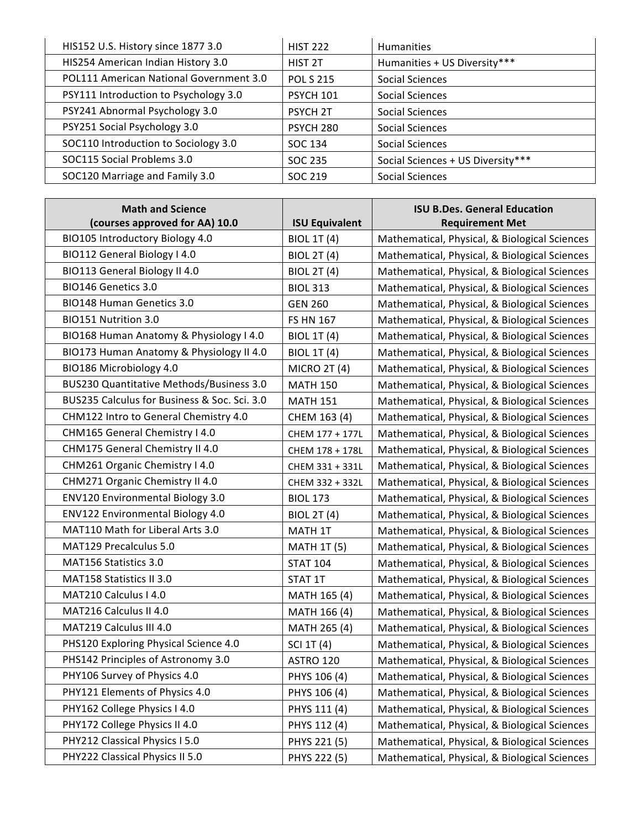| HIS152 U.S. History since 1877 3.0      | <b>HIST 222</b>    | <b>Humanities</b>                 |
|-----------------------------------------|--------------------|-----------------------------------|
| HIS254 American Indian History 3.0      | HIST <sub>2T</sub> | Humanities + US Diversity***      |
| POL111 American National Government 3.0 | <b>POL S 215</b>   | Social Sciences                   |
| PSY111 Introduction to Psychology 3.0   | <b>PSYCH 101</b>   | Social Sciences                   |
| PSY241 Abnormal Psychology 3.0          | <b>PSYCH 2T</b>    | Social Sciences                   |
| PSY251 Social Psychology 3.0            | <b>PSYCH 280</b>   | <b>Social Sciences</b>            |
| SOC110 Introduction to Sociology 3.0    | SOC 134            | Social Sciences                   |
| SOC115 Social Problems 3.0              | SOC 235            | Social Sciences + US Diversity*** |
| SOC120 Marriage and Family 3.0          | SOC 219            | Social Sciences                   |

| <b>Math and Science</b>                      |                       | <b>ISU B.Des. General Education</b>           |
|----------------------------------------------|-----------------------|-----------------------------------------------|
| (courses approved for AA) 10.0               | <b>ISU Equivalent</b> | <b>Requirement Met</b>                        |
| BIO105 Introductory Biology 4.0              | <b>BIOL 1T (4)</b>    | Mathematical, Physical, & Biological Sciences |
| BIO112 General Biology I 4.0                 | <b>BIOL 2T (4)</b>    | Mathematical, Physical, & Biological Sciences |
| BIO113 General Biology II 4.0                | <b>BIOL 2T (4)</b>    | Mathematical, Physical, & Biological Sciences |
| BIO146 Genetics 3.0                          | <b>BIOL 313</b>       | Mathematical, Physical, & Biological Sciences |
| <b>BIO148 Human Genetics 3.0</b>             | <b>GEN 260</b>        | Mathematical, Physical, & Biological Sciences |
| BIO151 Nutrition 3.0                         | <b>FS HN 167</b>      | Mathematical, Physical, & Biological Sciences |
| BIO168 Human Anatomy & Physiology I 4.0      | <b>BIOL 1T (4)</b>    | Mathematical, Physical, & Biological Sciences |
| BIO173 Human Anatomy & Physiology II 4.0     | <b>BIOL 1T (4)</b>    | Mathematical, Physical, & Biological Sciences |
| BIO186 Microbiology 4.0                      | <b>MICRO 2T (4)</b>   | Mathematical, Physical, & Biological Sciences |
| BUS230 Quantitative Methods/Business 3.0     | <b>MATH 150</b>       | Mathematical, Physical, & Biological Sciences |
| BUS235 Calculus for Business & Soc. Sci. 3.0 | <b>MATH 151</b>       | Mathematical, Physical, & Biological Sciences |
| CHM122 Intro to General Chemistry 4.0        | CHEM 163 (4)          | Mathematical, Physical, & Biological Sciences |
| CHM165 General Chemistry I 4.0               | CHEM 177 + 177L       | Mathematical, Physical, & Biological Sciences |
| CHM175 General Chemistry II 4.0              | CHEM 178 + 178L       | Mathematical, Physical, & Biological Sciences |
| CHM261 Organic Chemistry I 4.0               | CHEM 331 + 331L       | Mathematical, Physical, & Biological Sciences |
| CHM271 Organic Chemistry II 4.0              | CHEM 332 + 332L       | Mathematical, Physical, & Biological Sciences |
| ENV120 Environmental Biology 3.0             | <b>BIOL 173</b>       | Mathematical, Physical, & Biological Sciences |
| ENV122 Environmental Biology 4.0             | <b>BIOL 2T (4)</b>    | Mathematical, Physical, & Biological Sciences |
| MAT110 Math for Liberal Arts 3.0             | MATH 1T               | Mathematical, Physical, & Biological Sciences |
| MAT129 Precalculus 5.0                       | <b>MATH 1T (5)</b>    | Mathematical, Physical, & Biological Sciences |
| MAT156 Statistics 3.0                        | <b>STAT 104</b>       | Mathematical, Physical, & Biological Sciences |
| MAT158 Statistics II 3.0                     | STAT 1T               | Mathematical, Physical, & Biological Sciences |
| MAT210 Calculus I 4.0                        | MATH 165 (4)          | Mathematical, Physical, & Biological Sciences |
| MAT216 Calculus II 4.0                       | MATH 166 (4)          | Mathematical, Physical, & Biological Sciences |
| MAT219 Calculus III 4.0                      | MATH 265 (4)          | Mathematical, Physical, & Biological Sciences |
| PHS120 Exploring Physical Science 4.0        | SCI 1T (4)            | Mathematical, Physical, & Biological Sciences |
| PHS142 Principles of Astronomy 3.0           | ASTRO 120             | Mathematical, Physical, & Biological Sciences |
| PHY106 Survey of Physics 4.0                 | PHYS 106 (4)          | Mathematical, Physical, & Biological Sciences |
| PHY121 Elements of Physics 4.0               | PHYS 106 (4)          | Mathematical, Physical, & Biological Sciences |
| PHY162 College Physics I 4.0                 | PHYS 111 (4)          | Mathematical, Physical, & Biological Sciences |
| PHY172 College Physics II 4.0                | PHYS 112 (4)          | Mathematical, Physical, & Biological Sciences |
| PHY212 Classical Physics I 5.0               | PHYS 221 (5)          | Mathematical, Physical, & Biological Sciences |
| PHY222 Classical Physics II 5.0              | PHYS 222 (5)          | Mathematical, Physical, & Biological Sciences |